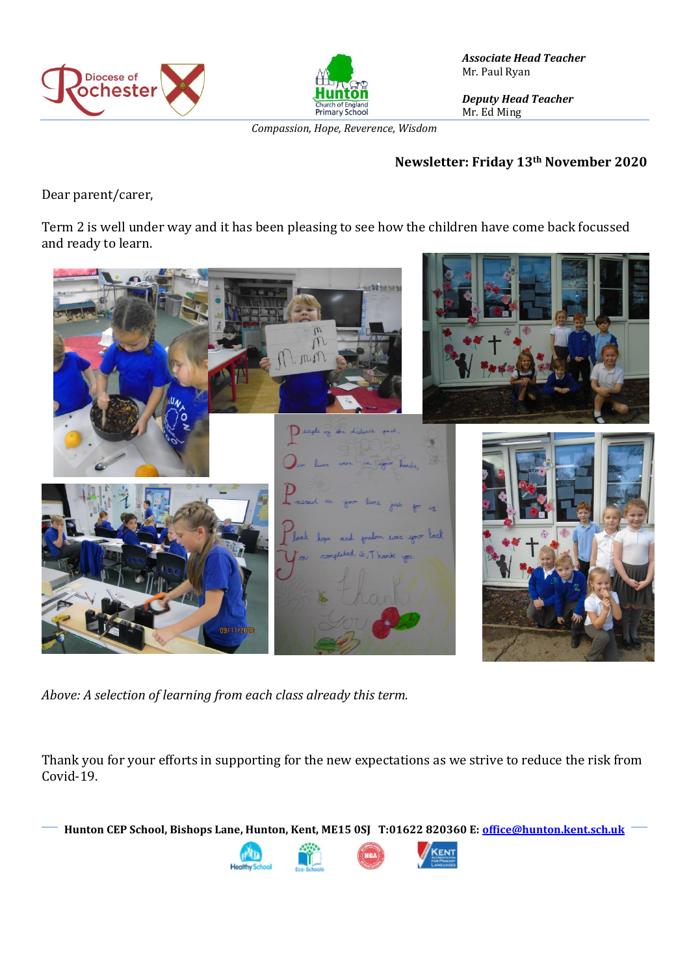



*Associate Head Teacher* Mr. Paul Ryan

*Deputy Head Teacher* Mr. Ed Ming

*Compassion, Hope, Reverence, Wisdom*

#### **Newsletter: Friday 13th November 2020**

Dear parent/carer,

Term 2 is well under way and it has been pleasing to see how the children have come back focussed and ready to learn.



*Above: A selection of learning from each class already this term.* 

Thank you for your efforts in supporting for the new expectations as we strive to reduce the risk from Covid-19.

**Hunton CEP School, Bishops Lane, Hunton, Kent, ME15 0SJ T:01622 820360 E[: office@hunton.kent.sch.uk](mailto:office@hunton.kent.sch.uk)**

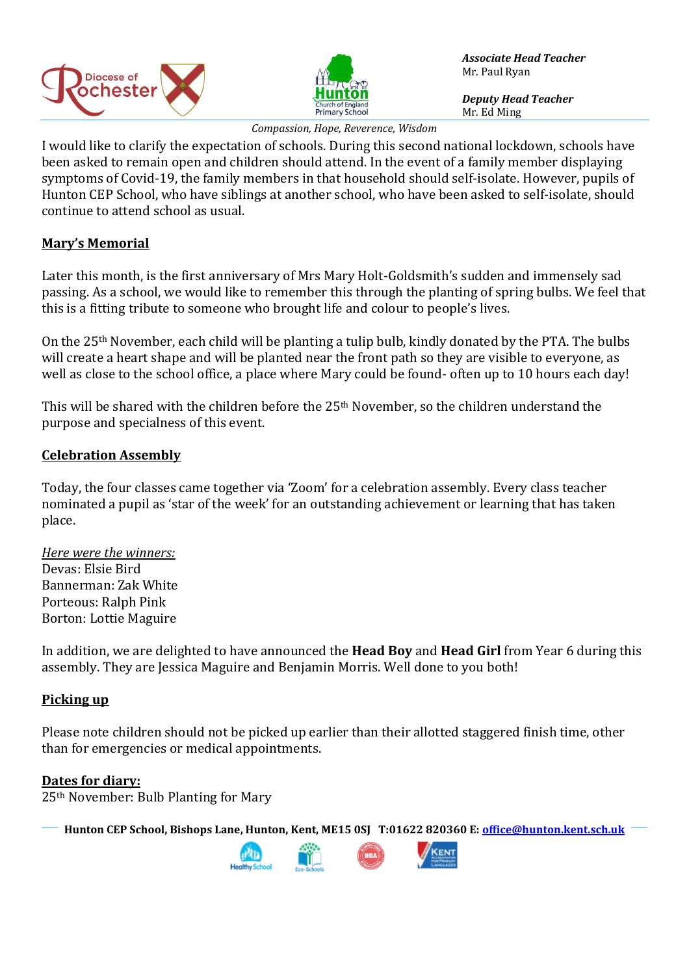



*Associate Head Teacher* Mr. Paul Ryan

*Deputy Head Teacher* Mr. Ed Ming

*Compassion, Hope, Reverence, Wisdom*

I would like to clarify the expectation of schools. During this second national lockdown, schools have been asked to remain open and children should attend. In the event of a family member displaying symptoms of Covid-19, the family members in that household should self-isolate. However, pupils of Hunton CEP School, who have siblings at another school, who have been asked to self-isolate, should continue to attend school as usual.

## **Mary's Memorial**

Later this month, is the first anniversary of Mrs Mary Holt-Goldsmith's sudden and immensely sad passing. As a school, we would like to remember this through the planting of spring bulbs. We feel that this is a fitting tribute to someone who brought life and colour to people's lives.

On the 25th November, each child will be planting a tulip bulb, kindly donated by the PTA. The bulbs will create a heart shape and will be planted near the front path so they are visible to everyone, as well as close to the school office, a place where Mary could be found- often up to 10 hours each day!

This will be shared with the children before the 25<sup>th</sup> November, so the children understand the purpose and specialness of this event.

### **Celebration Assembly**

Today, the four classes came together via 'Zoom' for a celebration assembly. Every class teacher nominated a pupil as 'star of the week' for an outstanding achievement or learning that has taken place.

*Here were the winners:* Devas: Elsie Bird Bannerman: Zak White Porteous: Ralph Pink Borton: Lottie Maguire

In addition, we are delighted to have announced the **Head Boy** and **Head Girl** from Year 6 during this assembly. They are Jessica Maguire and Benjamin Morris. Well done to you both!

### **Picking up**

Please note children should not be picked up earlier than their allotted staggered finish time, other than for emergencies or medical appointments.

### **Dates for diary:**

25th November: Bulb Planting for Mary

**Hunton CEP School, Bishops Lane, Hunton, Kent, ME15 0SJ T:01622 820360 E[: office@hunton.kent.sch.uk](mailto:office@hunton.kent.sch.uk)**